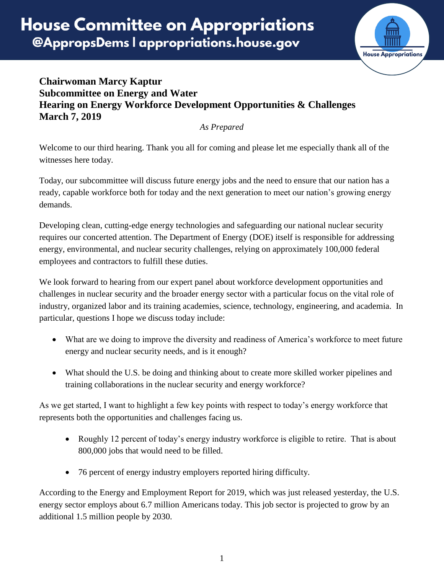

## **Chairwoman Marcy Kaptur Subcommittee on Energy and Water Hearing on Energy Workforce Development Opportunities & Challenges March 7, 2019**

*As Prepared*

Welcome to our third hearing. Thank you all for coming and please let me especially thank all of the witnesses here today.

Today, our subcommittee will discuss future energy jobs and the need to ensure that our nation has a ready, capable workforce both for today and the next generation to meet our nation's growing energy demands.

Developing clean, cutting-edge energy technologies and safeguarding our national nuclear security requires our concerted attention. The Department of Energy (DOE) itself is responsible for addressing energy, environmental, and nuclear security challenges, relying on approximately 100,000 federal employees and contractors to fulfill these duties.

We look forward to hearing from our expert panel about workforce development opportunities and challenges in nuclear security and the broader energy sector with a particular focus on the vital role of industry, organized labor and its training academies, science, technology, engineering, and academia. In particular, questions I hope we discuss today include:

- What are we doing to improve the diversity and readiness of America's workforce to meet future energy and nuclear security needs, and is it enough?
- What should the U.S. be doing and thinking about to create more skilled worker pipelines and training collaborations in the nuclear security and energy workforce?

As we get started, I want to highlight a few key points with respect to today's energy workforce that represents both the opportunities and challenges facing us.

- Roughly 12 percent of today's energy industry workforce is eligible to retire. That is about 800,000 jobs that would need to be filled.
- 76 percent of energy industry employers reported hiring difficulty.

According to the Energy and Employment Report for 2019, which was just released yesterday, the U.S. energy sector employs about 6.7 million Americans today. This job sector is projected to grow by an additional 1.5 million people by 2030.